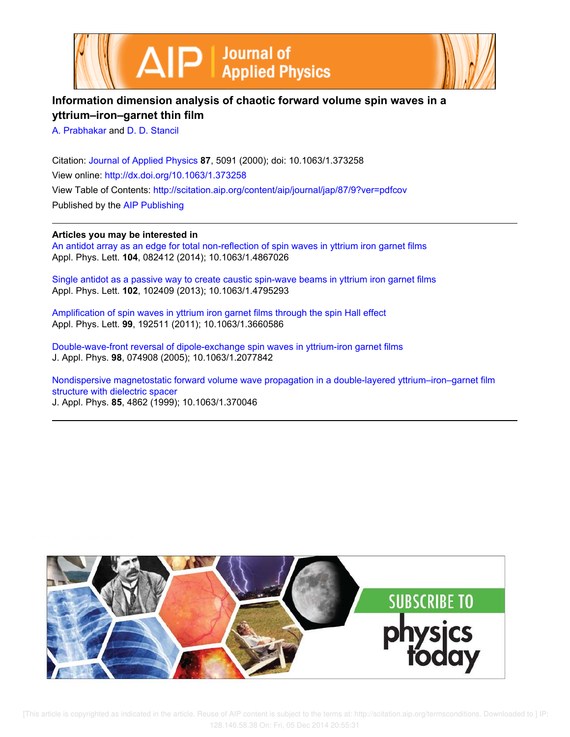



## **Information dimension analysis of chaotic forward volume spin waves in a yttrium–iron–garnet thin film**

A. Prabhakar and D. D. Stancil

Citation: Journal of Applied Physics **87**, 5091 (2000); doi: 10.1063/1.373258 View online: http://dx.doi.org/10.1063/1.373258 View Table of Contents: http://scitation.aip.org/content/aip/journal/jap/87/9?ver=pdfcov Published by the AIP Publishing

## **Articles you may be interested in**

An antidot array as an edge for total non-reflection of spin waves in yttrium iron garnet films Appl. Phys. Lett. **104**, 082412 (2014); 10.1063/1.4867026

Single antidot as a passive way to create caustic spin-wave beams in yttrium iron garnet films Appl. Phys. Lett. **102**, 102409 (2013); 10.1063/1.4795293

Amplification of spin waves in yttrium iron garnet films through the spin Hall effect Appl. Phys. Lett. **99**, 192511 (2011); 10.1063/1.3660586

Double-wave-front reversal of dipole-exchange spin waves in yttrium-iron garnet films J. Appl. Phys. **98**, 074908 (2005); 10.1063/1.2077842

Nondispersive magnetostatic forward volume wave propagation in a double-layered yttrium–iron–garnet film structure with dielectric spacer J. Appl. Phys. **85**, 4862 (1999); 10.1063/1.370046

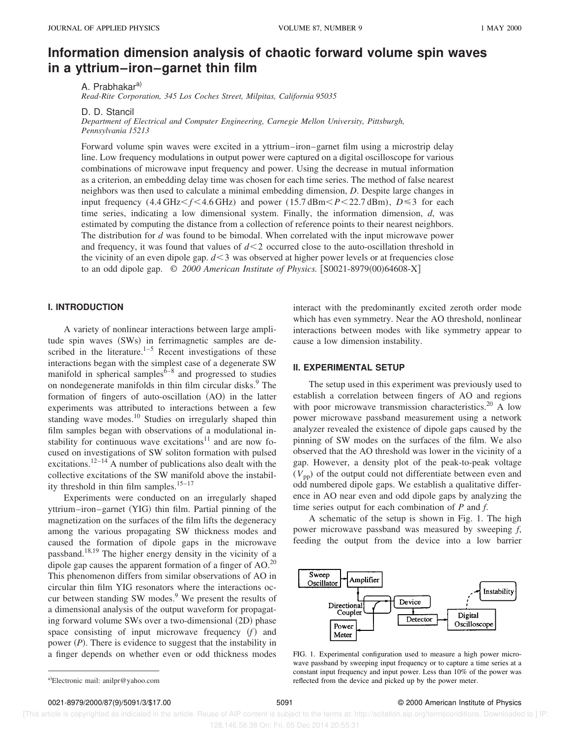# **Information dimension analysis of chaotic forward volume spin waves in a yttrium–iron–garnet thin film**

A. Prabhakar<sup>a)</sup>

*Read-Rite Corporation, 345 Los Coches Street, Milpitas, California 95035*

D. D. Stancil

*Department of Electrical and Computer Engineering, Carnegie Mellon University, Pittsburgh, Pennsylvania 15213*

Forward volume spin waves were excited in a yttrium–iron–garnet film using a microstrip delay line. Low frequency modulations in output power were captured on a digital oscilloscope for various combinations of microwave input frequency and power. Using the decrease in mutual information as a criterion, an embedding delay time was chosen for each time series. The method of false nearest neighbors was then used to calculate a minimal embedding dimension, *D*. Despite large changes in input frequency (4.4 GHz $\leq f \leq 4.6$  GHz) and power (15.7 dBm $\leq P \leq 22.7$  dBm),  $D \leq 3$  for each time series, indicating a low dimensional system. Finally, the information dimension, *d*, was estimated by computing the distance from a collection of reference points to their nearest neighbors. The distribution for *d* was found to be bimodal. When correlated with the input microwave power and frequency, it was found that values of  $d < 2$  occurred close to the auto-oscillation threshold in the vicinity of an even dipole gap.  $d < 3$  was observed at higher power levels or at frequencies close to an odd dipole gap.  $\degree$  *2000 American Institute of Physics.* [S0021-8979(00)64608-X]

### **I. INTRODUCTION**

A variety of nonlinear interactions between large amplitude spin waves (SWs) in ferrimagnetic samples are described in the literature.<sup>1–5</sup> Recent investigations of these interactions began with the simplest case of a degenerate SW manifold in spherical samples<sup> $6-8$ </sup> and progressed to studies on nondegenerate manifolds in thin film circular disks.<sup>9</sup> The formation of fingers of auto-oscillation  $(AO)$  in the latter experiments was attributed to interactions between a few standing wave modes.<sup>10</sup> Studies on irregularly shaped thin film samples began with observations of a modulational instability for continuous wave excitations<sup>11</sup> and are now focused on investigations of SW soliton formation with pulsed excitations.<sup>12–14</sup> A number of publications also dealt with the collective excitations of the SW manifold above the instability threshold in thin film samples. $15-17$ 

Experiments were conducted on an irregularly shaped yttrium–iron–garnet (YIG) thin film. Partial pinning of the magnetization on the surfaces of the film lifts the degeneracy among the various propagating SW thickness modes and caused the formation of dipole gaps in the microwave passband.<sup>18,19</sup> The higher energy density in the vicinity of a dipole gap causes the apparent formation of a finger of  $AO.<sup>20</sup>$ This phenomenon differs from similar observations of AO in circular thin film YIG resonators where the interactions occur between standing SW modes.<sup>9</sup> We present the results of a dimensional analysis of the output waveform for propagating forward volume SWs over a two-dimensional  $(2D)$  phase space consisting of input microwave frequency  $(f)$  and power  $(P)$ . There is evidence to suggest that the instability in a finger depends on whether even or odd thickness modes

interact with the predominantly excited zeroth order mode which has even symmetry. Near the AO threshold, nonlinear interactions between modes with like symmetry appear to cause a low dimension instability.

#### **II. EXPERIMENTAL SETUP**

The setup used in this experiment was previously used to establish a correlation between fingers of AO and regions with poor microwave transmission characteristics.<sup>20</sup> A low power microwave passband measurement using a network analyzer revealed the existence of dipole gaps caused by the pinning of SW modes on the surfaces of the film. We also observed that the AO threshold was lower in the vicinity of a gap. However, a density plot of the peak-to-peak voltage  $(V_{\text{pp}})$  of the output could not differentiate between even and odd numbered dipole gaps. We establish a qualitative difference in AO near even and odd dipole gaps by analyzing the time series output for each combination of *P* and *f*.

A schematic of the setup is shown in Fig. 1. The high power microwave passband was measured by sweeping *f*, feeding the output from the device into a low barrier



FIG. 1. Experimental configuration used to measure a high power microwave passband by sweeping input frequency or to capture a time series at a constant input frequency and input power. Less than 10% of the power was reflected from the device and picked up by the power meter.

#### 0021-8979/2000/87(9)/5091/3/\$17.00 5091 5091 5091 5091 C 2000 American Institute of Physics

 [This article is copyrighted as indicated in the article. Reuse of AIP content is subject to the terms at: http://scitation.aip.org/termsconditions. Downloaded to ] IP: 128.146.58.38 On: Fri, 05 Dec 2014 20:55:31

a)Electronic mail: anilpr@yahoo.com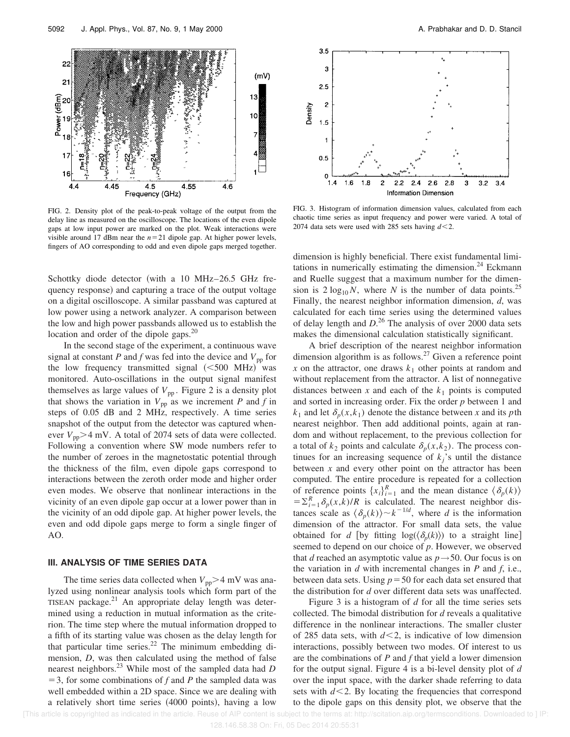

FIG. 2. Density plot of the peak-to-peak voltage of the output from the delay line as measured on the oscilloscope. The locations of the even dipole gaps at low input power are marked on the plot. Weak interactions were visible around 17 dBm near the  $n=21$  dipole gap. At higher power levels, fingers of AO corresponding to odd and even dipole gaps merged together.

Schottky diode detector (with a 10 MHz–26.5 GHz frequency response) and capturing a trace of the output voltage on a digital oscilloscope. A similar passband was captured at low power using a network analyzer. A comparison between the low and high power passbands allowed us to establish the location and order of the dipole gaps.<sup>20</sup>

In the second stage of the experiment, a continuous wave signal at constant *P* and *f* was fed into the device and  $V_{\text{pp}}$  for the low frequency transmitted signal  $(<500$  MHz) was monitored. Auto-oscillations in the output signal manifest themselves as large values of  $V_{\text{pp}}$ . Figure 2 is a density plot that shows the variation in  $V_{\text{pp}}$  as we increment *P* and *f* in steps of 0.05 dB and 2 MHz, respectively. A time series snapshot of the output from the detector was captured whenever  $V_{\text{pp}}$  $>$ 4 mV. A total of 2074 sets of data were collected. Following a convention where SW mode numbers refer to the number of zeroes in the magnetostatic potential through the thickness of the film, even dipole gaps correspond to interactions between the zeroth order mode and higher order even modes. We observe that nonlinear interactions in the vicinity of an even dipole gap occur at a lower power than in the vicinity of an odd dipole gap. At higher power levels, the even and odd dipole gaps merge to form a single finger of AO.

### **III. ANALYSIS OF TIME SERIES DATA**

The time series data collected when  $V_{\text{pp}}$  > 4 mV was analyzed using nonlinear analysis tools which form part of the TISEAN package.<sup>21</sup> An appropriate delay length was determined using a reduction in mutual information as the criterion. The time step where the mutual information dropped to a fifth of its starting value was chosen as the delay length for that particular time series. $^{22}$  The minimum embedding dimension, *D*, was then calculated using the method of false nearest neighbors.<sup>23</sup> While most of the sampled data had *D*  $=$  3, for some combinations of *f* and *P* the sampled data was well embedded within a 2D space. Since we are dealing with a relatively short time series (4000 points), having a low



FIG. 3. Histogram of information dimension values, calculated from each chaotic time series as input frequency and power were varied. A total of 2074 data sets were used with 285 sets having  $d < 2$ .

dimension is highly beneficial. There exist fundamental limitations in numerically estimating the dimension.<sup>24</sup> Eckmann and Ruelle suggest that a maximum number for the dimension is  $2 \log_{10} N$ , where *N* is the number of data points.<sup>25</sup> Finally, the nearest neighbor information dimension, *d*, was calculated for each time series using the determined values of delay length and *D*. <sup>26</sup> The analysis of over 2000 data sets makes the dimensional calculation statistically significant.

A brief description of the nearest neighbor information dimension algorithm is as follows. $27$  Given a reference point *x* on the attractor, one draws  $k_1$  other points at random and without replacement from the attractor. A list of nonnegative distances between *x* and each of the  $k_1$  points is computed and sorted in increasing order. Fix the order *p* between 1 and  $k_1$  and let  $\delta_p(x, k_1)$  denote the distance between *x* and its *p*th nearest neighbor. Then add additional points, again at random and without replacement, to the previous collection for a total of  $k_2$  points and calculate  $\delta_p(x, k_2)$ . The process continues for an increasing sequence of  $k_j$ 's until the distance between *x* and every other point on the attractor has been computed. The entire procedure is repeated for a collection of reference points  $\{x_i\}_{i=1}^R$  and the mean distance  $\langle \delta_p(k) \rangle$  $= \sum_{i=1}^{R} \delta_p(x, k)/R$  is calculated. The nearest neighbor distances scale as  $\langle \delta_p(k) \rangle \sim k^{-1/d}$ , where *d* is the information dimension of the attractor. For small data sets, the value obtained for *d* [by fitting  $log(\langle \delta_p(k) \rangle)$  to a straight line] seemed to depend on our choice of *p*. However, we observed that *d* reached an asymptotic value as  $p \rightarrow 50$ . Our focus is on the variation in *d* with incremental changes in *P* and *f*, i.e., between data sets. Using  $p = 50$  for each data set ensured that the distribution for *d* over different data sets was unaffected.

Figure 3 is a histogram of *d* for all the time series sets collected. The bimodal distribution for *d* reveals a qualitative difference in the nonlinear interactions. The smaller cluster of 285 data sets, with  $d < 2$ , is indicative of low dimension interactions, possibly between two modes. Of interest to us are the combinations of *P* and *f* that yield a lower dimension for the output signal. Figure 4 is a bi-level density plot of *d* over the input space, with the darker shade referring to data sets with  $d < 2$ . By locating the frequencies that correspond to the dipole gaps on this density plot, we observe that the